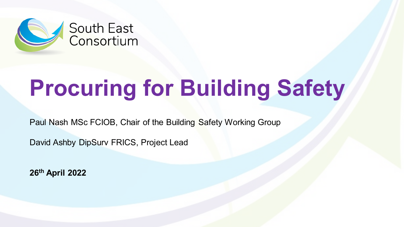

Paul Nash MSc FCIOB, Chair of the Building Safety Working Group

David Ashby DipSurv FRICS, Project Lead

**26th April 2022**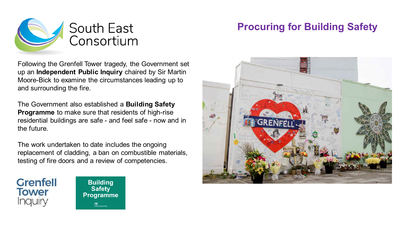

Following the Grenfell Tower tragedy, the Government set up an **Independent Public Inquiry** chaired by Sir Martin Moore-Bick to examine the circumstances leading up to and surrounding the fire.

The Government also established a **Building Safety Programme** to make sure that residents of high-rise residential buildings are safe - and feel safe - now and in the future.

The work undertaken to date includes the ongoing replacement of cladding, a ban on combustible materials, testing of fire doors and a review of competencies.





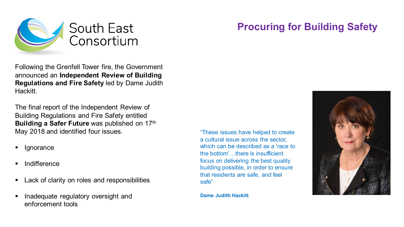

Following the Grenfell Tower fire, the Government announced an **Independent Review of Building Regulations and Fire Safety** led by Dame Judith Hackitt.

The final report of the Independent Review of Building Regulations and Fire Safety entitled **Building a Safer Future** was published on 17<sup>th</sup> May 2018 and identified four issues.

- **Ignorance**
- Indifference
- Lack of clarity on roles and responsibilities
- Inadequate regulatory oversight and enforcement tools

"These issues have helped to create a cultural issue across the sector, which can be described as a 'race to the bottom'…there is insufficient focus on delivering the best quality building possible, in order to ensure that residents are safe, and feel safe"

**Dame Judith Hackitt** 

### **Procuring for Building Safety**

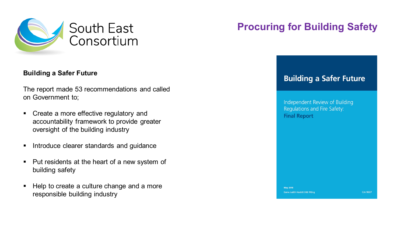

#### **Building a Safer Future**

The report made 53 recommendations and called on Government to;

- Create a more effective regulatory and accountability framework to provide greater oversight of the building industry
- **Introduce clearer standards and guidance**
- **Put residents at the heart of a new system of** building safety
- Help to create a culture change and a more responsible building industry

### **Procuring for Building Safety**

### **Building a Safer Future**

Independent Review of Building Regulations and Fire Safety: **Final Report** 

**May 2018** Dame Judith Hackitt DBE FREng

Cm 9607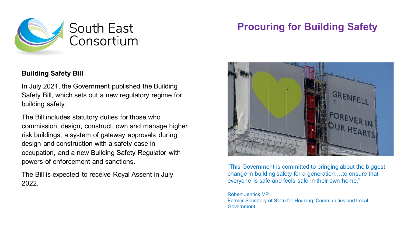

### **Building Safety Bill**

In July 2021, the Government published the Building Safety Bill, which sets out a new regulatory regime for building safety.

The Bill includes statutory duties for those who commission, design, construct, own and manage higher risk buildings, a system of gateway approvals during design and construction with a safety case in occupation, and a new Building Safety Regulator with powers of enforcement and sanctions.

The Bill is expected to receive Royal Assent in July 2022.

### **Procuring for Building Safety**



"This Government is committed to bringing about the biggest change in building safety for a generation….to ensure that everyone is safe and feels safe in their own home."

Robert Jenrick MP Former Secretary of State for Housing, Communities and Local Government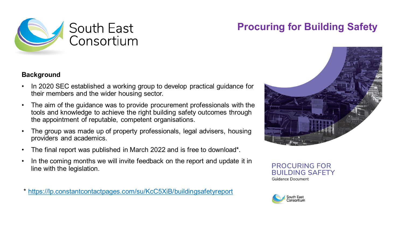

#### **Background**

- In 2020 SEC established a working group to develop practical guidance for their members and the wider housing sector.
- The aim of the guidance was to provide procurement professionals with the tools and knowledge to achieve the right building safety outcomes through the appointment of reputable, competent organisations.
- The group was made up of property professionals, legal advisers, housing providers and academics.
- The final report was published in March 2022 and is free to download\*.
- In the coming months we will invite feedback on the report and update it in line with the legislation.

\*<https://lp.constantcontactpages.com/su/KcC5XiB/buildingsafetyreport>



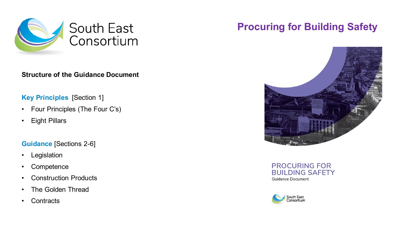

#### **Structure of the Guidance Document**

#### **Key Principles** [Section 1]

- Four Principles (The Four C's)
- Eight Pillars

#### **Guidance** [Sections 2-6]

- Legislation
- Competence
- Construction Products
- The Golden Thread
- Contracts

### **Procuring for Building Safety**



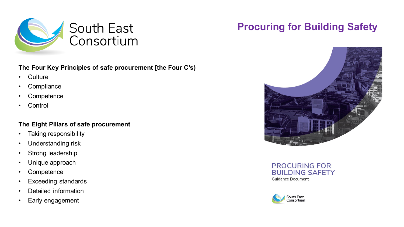

#### **The Four Key Principles of safe procurement [the Four C's)**

- Culture
- Compliance
- Competence
- Control

#### **The Eight Pillars of safe procurement**

- Taking responsibility
- Understanding risk
- Strong leadership
- Unique approach
- Competence
- Exceeding standards
- Detailed information
- Early engagement

# **Procuring for Building Safety**



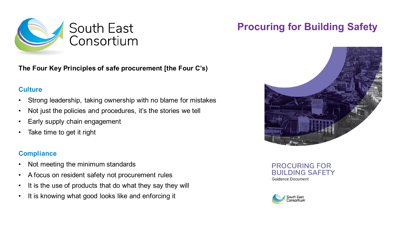

**The Four Key Principles of safe procurement [the Four C's)**

### **Culture**

- Strong leadership, taking ownership with no blame for mistakes
- Not just the policies and procedures, it's the stories we tell
- Early supply chain engagement
- Take time to get it right

### **Compliance**

- Not meeting the minimum standards
- A focus on resident safety not procurement rules
- It is the use of products that do what they say they will
- It is knowing what good looks like and enforcing it

# **Procuring for Building Safety**



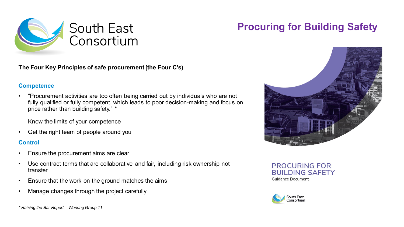

**The Four Key Principles of safe procurement [the Four C's)**

#### **Competence**

• "Procurement activities are too often being carried out by individuals who are not fully qualified or fully competent, which leads to poor decision-making and focus on price rather than building safety." \*

Know the limits of your competence

• Get the right team of people around you

#### **Control**

- Ensure the procurement aims are clear
- Use contract terms that are collaborative and fair, including risk ownership not transfer
- Ensure that the work on the ground matches the aims
- Manage changes through the project carefully



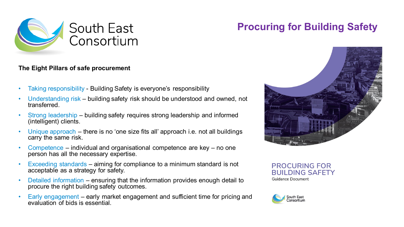

#### **The Eight Pillars of safe procurement**

- Taking responsibility Building Safety is everyone's responsibility
- Understanding risk building safety risk should be understood and owned, not transferred.
- Strong leadership building safety requires strong leadership and informed (intelligent) clients.
- Unique approach there is no 'one size fits all' approach i.e. not all buildings carry the same risk.
- Competence individual and organisational competence are key no one person has all the necessary expertise.
- Exceeding standards aiming for compliance to a minimum standard is not acceptable as a strategy for safety.
- Detailed information ensuring that the information provides enough detail to procure the right building safety outcomes.
- Early engagement early market engagement and sufficient time for pricing and evaluation of bids is essential.